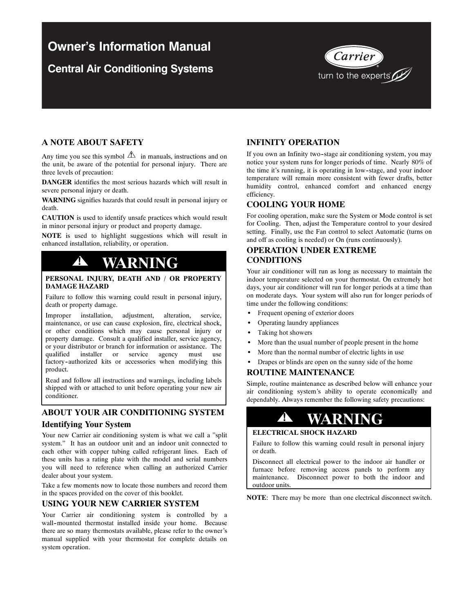## **Owner's Information Manual**

## **Central Air Conditioning Systems**



## **A NOTE ABOUT SAFETY**

Any time you see this symbol  $\Delta$  in manuals, instructions and on the unit, be aware of the potential for personal injury. There are three levels of precaution:

**DANGER** identifies the most serious hazards which will result in severe personal injury or death.

**WARNING** signifies hazards that could result in personal injury or death.

**CAUTION** is used to identify unsafe practices which would result in minor personal injury or product and property damage.

**NOTE** is used to highlight suggestions which will result in enhanced installation, reliability, or operation.

## **! WARNING**

### **PERSONAL INJURY, DEATH AND / OR PROPERTY DAMAGE HAZARD**

Failure to follow this warning could result in personal injury, death or property damage.

Improper installation, adjustment, alteration, service, maintenance, or use can cause explosion, fire, electrical shock, or other conditions which may cause personal injury or property damage. Consult a qualified installer, service agency, or your distributor or branch for information or assistance. The qualified installer or service agency must use installer or service agency must use factory--authorized kits or accessories when modifying this product.

Read and follow all instructions and warnings, including labels shipped with or attached to unit before operating your new air conditioner.

## **ABOUT YOUR AIR CONDITIONING SYSTEM Identifying Your System**

Your new Carrier air conditioning system is what we call a "split" system." It has an outdoor unit and an indoor unit connected to each other with copper tubing called refrigerant lines. Each of these units has a rating plate with the model and serial numbers you will need to reference when calling an authorized Carrier dealer about your system.

Take a few moments now to locate those numbers and record them in the spaces provided on the cover of this booklet.

## **USING YOUR NEW CARRIER SYSTEM**

Your Carrier air conditioning system is controlled by a wall--mounted thermostat installed inside your home. Because there are so many thermostats available, please refer to the owner's manual supplied with your thermostat for complete details on system operation.

## **INFINITY OPERATION**

If you own an Infinity two--stage air conditioning system, you may notice your system runs for longer periods of time. Nearly 80% of the time it's running, it is operating in low--stage, and your indoor temperature will remain more consistent with fewer drafts, better humidity control, enhanced comfort and enhanced energy efficiency.

## **COOLING YOUR HOME**

For cooling operation, make sure the System or Mode control is set for Cooling. Then, adjust the Temperature control to your desired setting. Finally, use the Fan control to select Automatic (turns on and off as cooling is needed) or On (runs continuously).

## **OPERATION UNDER EXTREME CONDITIONS**

Your air conditioner will run as long as necessary to maintain the indoor temperature selected on your thermostat. On extremely hot days, your air conditioner will run for longer periods at a time than on moderate days. Your system will also run for longer periods of time under the following conditions:

- Frequent opening of exterior doors
- Operating laundry appliances
- Taking hot showers
- More than the usual number of people present in the home
- More than the normal number of electric lights in use
- Drapes or blinds are open on the sunny side of the home

## **ROUTINE MAINTENANCE**

Simple, routine maintenance as described below will enhance your air conditioning system's ability to operate economically and dependably. Always remember the following safety precautions:

# **! WARNING**

### **ELECTRICAL SHOCK HAZARD**

Failure to follow this warning could result in personal injury or death.

Disconnect all electrical power to the indoor air handler or furnace before removing access panels to perform any maintenance. Disconnect power to both the indoor and outdoor units.

**NOTE**: There may be more than one electrical disconnect switch.